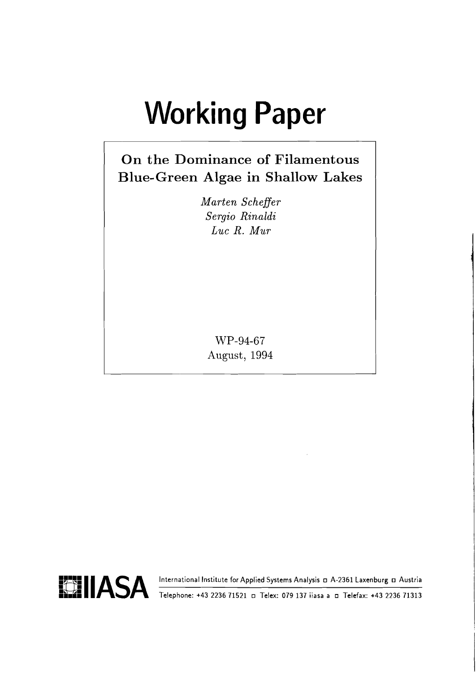# **Working Paper**

# On the Dominance of Filamentous **Blue-Green Algae in Shallow Lakes**

Marten Scheffer Sergio Rinaldi  $Luc R. Mur$ 

WP-94-67 August, 1994

International Institute for Applied Systems Analysis D A-2361 Laxenburg D Austria



Telephone: +43 2236 71521 a Telex: 079 137 iiasa a a Telefax: +43 2236 71313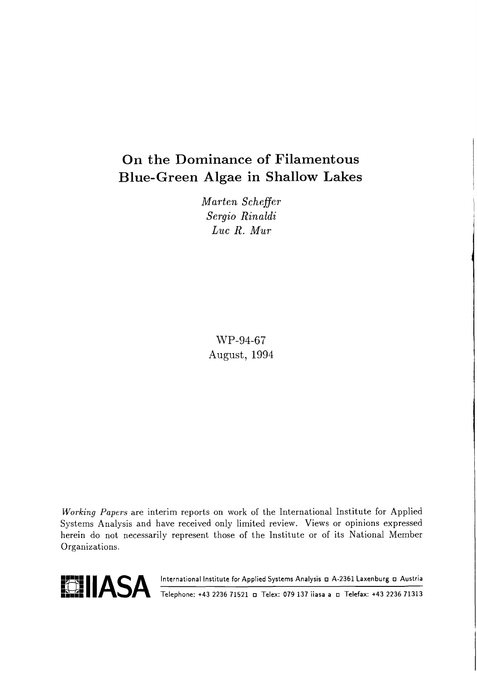# **On the Dominance of Filamentous Blue-Green Algae in Shallow Lakes**

*Marten Scheffer Sergio Rinaldi Luc R. Mur* 

WP-94-67 August, 1994

**Working** Papers are interim reports on work of the International Institute for Applied Systems Analysis and have received only limited review. Views or opinions expressed herein do not necessarily represent those of the Institute or of its National Member Organizations.



**BELIASA** International Institute for Applied Systems Analysis **D A-2361 Laxenburg D Austria**<br> **BELIASA** Telephone: +43 2236 71521 D Telex: 079 137 iiasa a D Telefax: +43 2236 71313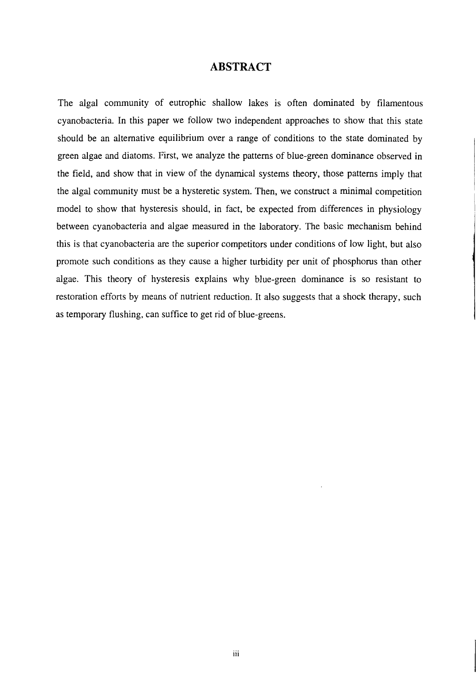#### **ABSTRACT**

The algal community of eutrophic shallow lakes is often dominated by filamentous cyanobacteria. In this paper we follow two independent approaches to show that this state should be an alternative equilibrium over a range of conditions to the state dominated by green algae and diatoms. First, we analyze the patterns of blue-green dominance observed in the field, and show that in view of the dynamical systems theory, those patterns imply that the algal community must be a hysteretic system. Then, we construct a minimal competition model to show that hysteresis should, in fact, be expected from differences in physiology between cyanobacteria and algae measured in the laboratory. The basic mechanism behind this is that cyanobacteria are the superior competitors under conditions of low light, but also promote such conditions as they cause a higher turbidity per unit of phosphorus than other algae. This theory of hysteresis explains why blue-green dominance is so resistant to restoration efforts by means of nutrient reduction. It also suggests that a shock therapy, such as temporary flushing, can suffice to get rid of blue-greens.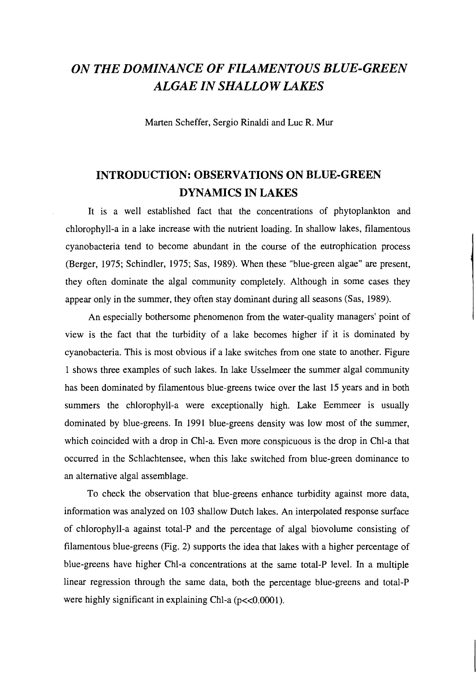# *ON THE DOMINANCE OF FILAMENTOUS BLUE-GREEN ALGAE IN SHALL0 W LAKES*

Marten Scheffer, Sergio Rinaldi and Luc R. Mur

# **INTRODUCTION: OBSERVATIONS ON BLUE-GREEN DYNAMICS IN LAKES**

It is a well established fact that the concentrations of phytoplankton and chlorophyll-a in a lake increase with the nutrient loading. In shallow lakes, filamentous cyanobacteria tend to become abundant in the course of the eutrophication process (Berger, 1975; Schindler, 1975; Sas, 1989). When these "blue-green algae" are present, they often dominate the algal community completely. Although in some cases they appear only in the summer, they often stay dominant during all seasons (Sas, 1989).

An especially bothersome phenomenon from the water-quality managers' point of view is the fact that the turbidity of a lake becomes higher if it is dominated by cyanobacteria. This is most obvious if a lake switches from one state to another. Figure 1 shows three examples of such lakes. In lake Usselmeer the summer algal community has been dominated by filamentous blue-greens twice over the last 15 years and in both summers the chlorophyll-a were exceptionally high. Lake Eemmeer is usually dominated by blue-greens. In 1991 blue-greens density was low most of the summer, which coincided with a drop in Chl-a. Even more conspicuous is the drop in Chl-a that occurred in the Schlachtensee, when this lake switched from blue-green dominance to an alternative algal assemblage.

To check the observation that blue-greens enhance turbidity against more data, information was analyzed on 103 shallow Dutch lakes. An interpolated response surface of chlorophyll-a against total-P and the percentage of algal biovolume consisting of filamentous blue-greens (Fig. 2) supports the idea that lakes with a higher percentage of blue-greens have higher Chl-a concentrations at the same total-P level. In a multiple linear regression through the same data, both the percentage blue-greens and total-P were highly significant in explaining Chl-a (p<<0.0001).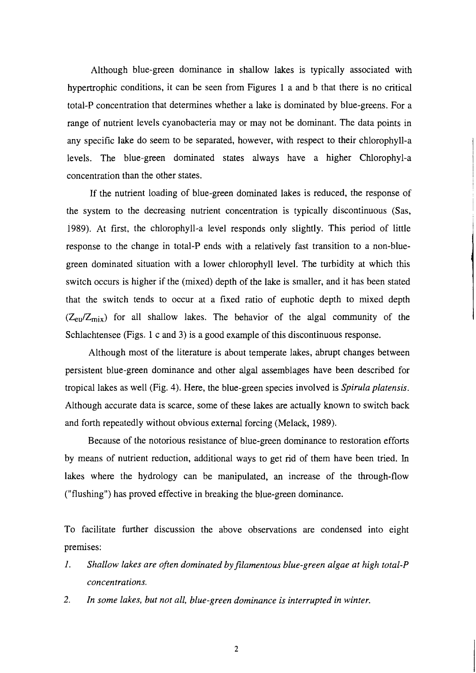Although blue-green dominance in shallow lakes is typically associated with hypertrophic conditions, it can be seen from Figures 1 a and b that there is no critical total-P concentration that determines whether a lake is dominated by blue-greens. For a range of nutrient levels cyanobacteria may or may not be dominant. The data points in any specific lake do seem to be separated, however, with respect to their chlorophyll-a levels. The blue-green dominated states always have a higher Chlorophyl-a concentration than the other states.

If the nutrient loading of blue-green dominated lakes is reduced, the response of the system to the decreasing nutrient concentration is typically discontinuous (Sas, 1989). At first, the chlorophyll-a level responds only slightly. This period of little response to the change in total-P ends with a relatively fast transition to a non-bluegreen dominated situation with a lower chlorophyll level. The turbidity at which this switch occurs is higher if the (mixed) depth of the lake is smaller, and it has been stated that the switch tends to occur at a fixed ratio of euphotic depth to mixed depth  $(Z_{\text{eu}}/Z_{\text{mix}})$  for all shallow lakes. The behavior of the algal community of the Schlachtensee (Figs. 1 c and 3) is a good example of this discontinuous response.

Although most of the literature is about temperate lakes, abrupt changes between persistent blue-green dominance and other algal assemblages have been described for tropical lakes as well (Fig. 4). Here, the blue-green species involved is *Spirula platensis.*  Although accurate data is scarce, some of these lakes are actually known to switch back and forth repeatedly without obvious external forcing (Melack, 1989).

Because of the notorious resistance of blue-green dominance to restoration efforts by means of nutrient reduction, additional ways to get rid of them have been tried. In lakes where the hydrology can be manipulated, an increase of the through-flow ("flushing") has proved effective in breaking the blue-green dominance.

To facilitate further discussion the above observations are condensed into eight premises:

- I. *SIzallow lakes are often dominated by filamentous blue-green algae at high total-P concentrations.*
- 2. *In some lakes, but not all, blue-green dominance is interrupted in winter.*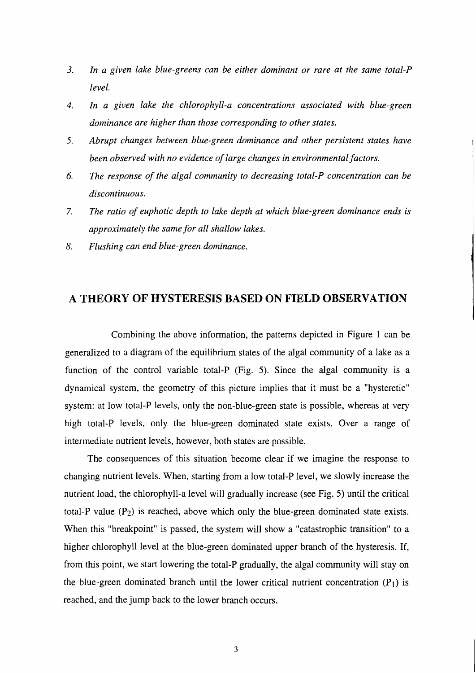- *3. In a given lake blue-greens can be either dominant or rare at the same total-P level.*
- 4. *In a given lake the chlorophyll-a concentrations associated with blue-green dominance are higher than those corresponding to other states.*
- *5. Abrupt changes between blue-green dominance and other persistent states have been observed with no evidence of large changes in environmental factors.*
- *6. The response of the algal community to decreasing total-P concentration can be discontinuous.*
- 7. *The ratio of euphoric depth to lake depth at which blue-green dominance ends is approximately the same for all shallow lakes.*
- 8. *Flushing can end blue-green dominance.*

## **A THEORY OF HYSTERESIS BASED ON FIELD OBSERVATION**

Combining the above information, the patterns depicted in Figure 1 can be generalized to a diagram of the equilibrium states of the algal community of a lake as a function of the control variable total-P (Fig. 5). Since the algal community is a dynamical system, the geometry of this picture implies that it must be a "hysteretic" system: at low total-P levels, only the non-blue-green state is possible, whereas at very high total-P levels, only the blue-green dominated state exists. Over a range of intermediate nutrient levels, however, both states are possible.

The consequences of this situation become clear if we imagine the response to changing nutrient levels. When, starting from a low total-P level, we slowly increase the nutrient load, the chlorophyll-a level will gradually increase (see Fig. 5) until the critical total-P value  $(P_2)$  is reached, above which only the blue-green dominated state exists. When this "breakpoint" is passed, the system will show a "catastrophic transition" to a higher chlorophyll level at the blue-green dominated upper branch of the hysteresis. If, from this point, we start lowering the total-P gradually, the algal community will stay on the blue-green dominated branch until the lower critical nutrient concentration  $(P_1)$  is reached, and the jump back to the lower branch occurs.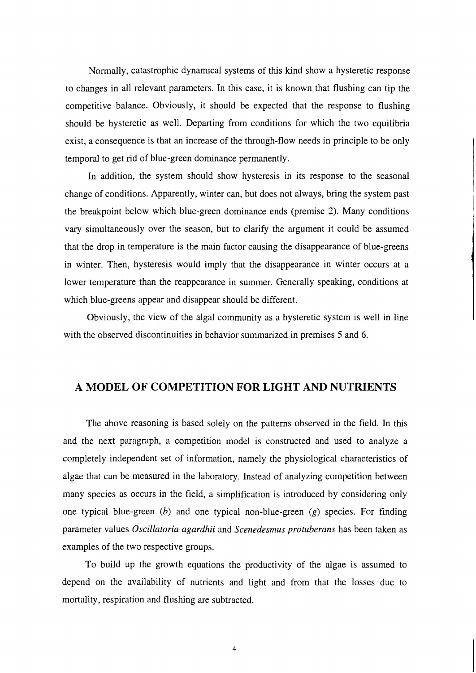Normally, catastrophic dynamical systems of this kind show a hysteretic response to changes in all relevant parameters. In this case, it is known that flushing can tip the competitive balance. Obviously, it should be expected that the response to flushing should be hysteretic as well. Departing from conditions for which the two equilibria exist, a consequence is that an increase of the through-flow needs in principle to be only temporal to get rid of blue-green dominance permanently.

In addition, the system should show hysteresis in its response to the seasonal change of conditions. Apparently, winter can, but does not always, bring the system past the breakpoint below which blue-green dominance ends (premise 2). Many conditions vary simultaneously over the season, but to clarify the argument it could be assumed that the drop in temperature is the main factor causing the disappearance of blue-greens in winter. Then, hysteresis would imply that the disappearance in winter occurs at a lower temperature than the reappearance in summer. Generally speaking, conditions at which blue-greens appear and disappear should be different.

Obviously, the view of the algal community as a hysteretic system is well in line with the observed discontinuities in behavior summarized in premises 5 and 6.

#### **A MODEL OF COMPETITION FOR LIGHT AND NUTRIENTS**

The above reasoning is based solely on the patterns observed in the field. In this and the next paragraph, a competition model is constructed and used to analyze a completely independent set of information, namely the physiological characteristics of algae that can be measured in the laboratory. Instead of analyzing competition between many species as occurs in the field, a simplification is introduced by considering only one typical blue-green  $(b)$  and one typical non-blue-green  $(g)$  species. For finding parameter values Oscillatoria agardhii and Scenedesmus protuberans has been taken as examples of the two respective groups.

To build up the growth equations the productivity of the algae is assumed to depend on the availability of nutrients and light and from that the losses due to mortality, respiration and flushing are subtracted.

 $\overline{4}$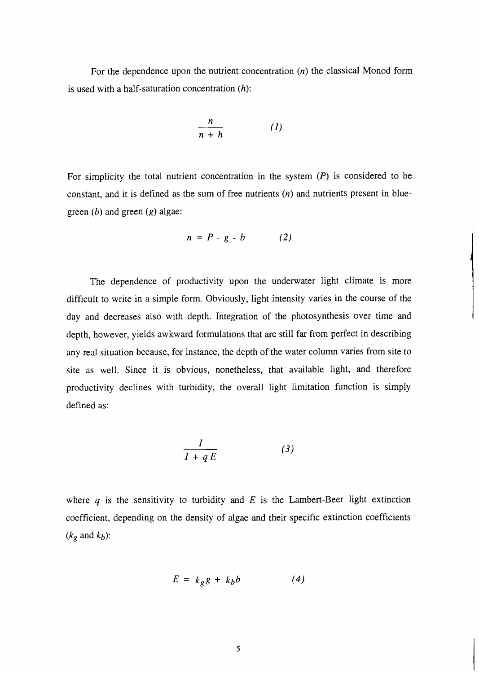For the dependence upon the nutrient concentration *(n)* the classical Monod form is used with a half-saturation concentration *(h):* 

$$
\frac{n}{n+h} \qquad (1)
$$

For simplicity the total nutrient concentration in the system *(P)* is considered to be constant, and it is defined as the sum of free nutrients *(n)* and nutrients present in bluegreen *(b)* and green *(g)* algae:

$$
n = P - g - b \qquad (2)
$$

The dependence of productivity upon the underwater light climate is more difficult to write in a simple form. Obviously, light intensity varies in the course of the day and decreases also with depth. Integration of the photosynthesis over time and depth, however, yields awkward formulations that are still far from perfect in describing any real situation because, for instance, the depth of the water column varies from site to site as well. Since it is obvious, nonetheless, that available light, and therefore productivity declines with turbidity, the overall light limitation function is simply defined as:

$$
\frac{1}{1+qE} \tag{3}
$$

where  $q$  is the sensitivity to turbidity and  $E$  is the Lambert-Beer light extinction coefficient, depending on the density of algae and their specific extinction coefficients  $(k_g \text{ and } k_b)$ :

$$
E = k_{g}g + k_{b}b \tag{4}
$$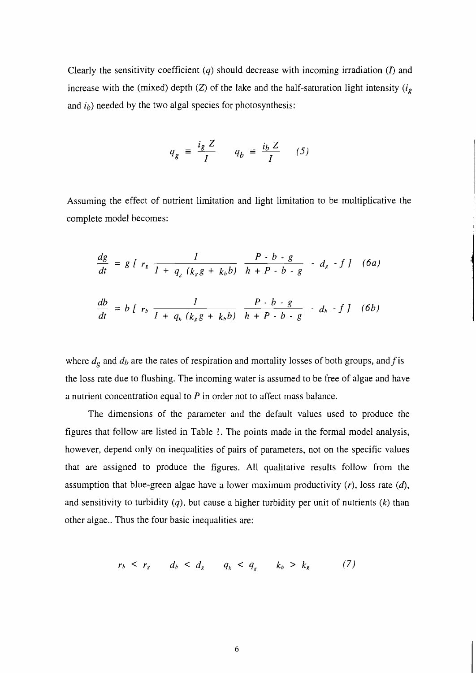Clearly the sensitivity coefficient  $(q)$  should decrease with incoming irradiation  $(I)$  and increase with the (mixed) depth (Z) of the lake and the half-saturation light intensity ( $i_g$ and  $i<sub>b</sub>$ ) needed by the two algal species for photosynthesis:

$$
q_g = \frac{i_g Z}{I} \qquad q_b = \frac{i_b Z}{I} \qquad (5)
$$

Assuming the effect of nutrient limitation and light limitation to be multiplicative the complete model becomes:

$$
\frac{dg}{dt} = g \int r_g \frac{1}{1 + q_g (k_g g + k_b b)} \frac{P - b - g}{h + P - b - g} - d_g - f \int (6a)
$$

$$
\frac{db}{dt} = b \int r_b \frac{1}{1 + q_b (k_g g + k_b b)} \frac{P \cdot b \cdot g}{h + P \cdot b \cdot g} \cdot d_b \cdot f \cdot J \quad (6b)
$$

where  $d_g$  and  $d_b$  are the rates of respiration and mortality losses of both groups, and f is the loss rate due to flushing. The incoming water is assumed to be free of algae and have a nutrient concentration equal to  $P$  in order not to affect mass balance.

The dimensions of the parameter and the default values used to produce the figures that follow are listed in Table 1. The points made in the formal model analysis, however, depend only on inequalities of pairs of parameters, not on the specific values that are assigned to produce the figures. All qualitative results follow from the assumption that blue-green algae have a lower maximum productivity  $(r)$ , loss rate  $(d)$ , and sensitivity to turbidity  $(q)$ , but cause a higher turbidity per unit of nutrients  $(k)$  than other algae.. Thus the four basic inequalities are:

$$
r_b \leq r_g \qquad d_b \leq d_g \qquad q_b \leq q_g \qquad k_b \geq k_g \qquad (7)
$$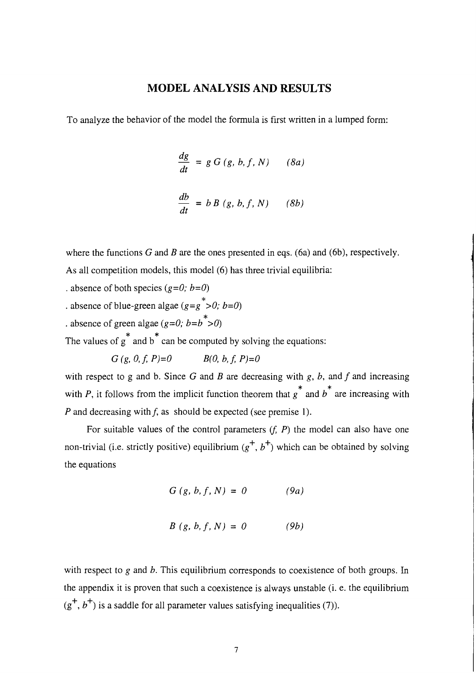## **MODEL ANALYSIS AND RESULTS**

To analyze the behavior of the model the formula is first written in a lumped form:

$$
\frac{dg}{dt} = g G(g, b, f, N) \qquad (8a)
$$

$$
\frac{db}{dt} = b B(g, b, f, N) \qquad (8b)
$$

where the functions G and B are the ones presented in eqs. (6a) and (6b), respectively. As all competition models, this model (6) has three trivial equilibria:

. absence of both species  $(g=0; b=0)$ 

- . absence of blue-green algae ( $g=g^*$ >0; b=0)
- . absence of green algae (g=0; b=b  $\rightarrow$  0)

 $*$   $*$ The values of g and b can be computed by solving the equations:

 $G(g, 0, f, P)=0$   $B(0, b, f, P)=0$ 

with respect to g and b. Since G and B are decreasing with  $g$ ,  $b$ , and  $f$  and increasing  $*$   $*$ with P, it follows from the implicit function theorem that  $g^{\dagger}$  and  $b^{\dagger}$  are increasing with P and decreasing with  $f$ , as should be expected (see premise 1).

For suitable values of the control parameters  $(f, P)$  the model can also have one non-trivial (i.e. strictly positive) equilibrium  $(g^+, b^+)$  which can be obtained by solving the equations

$$
G(g, b, f, N) = 0 \qquad (9a)
$$

$$
B(g, b, f, N) = 0 \qquad (9b)
$$

with respect to  $g$  and  $b$ . This equilibrium corresponds to coexistence of both groups. In the appendix it is proven that such a coexistence is always unstable (i. e. the equilibrium  $(g<sup>+</sup>, b<sup>+</sup>)$  is a saddle for all parameter values satisfying inequalities (7)).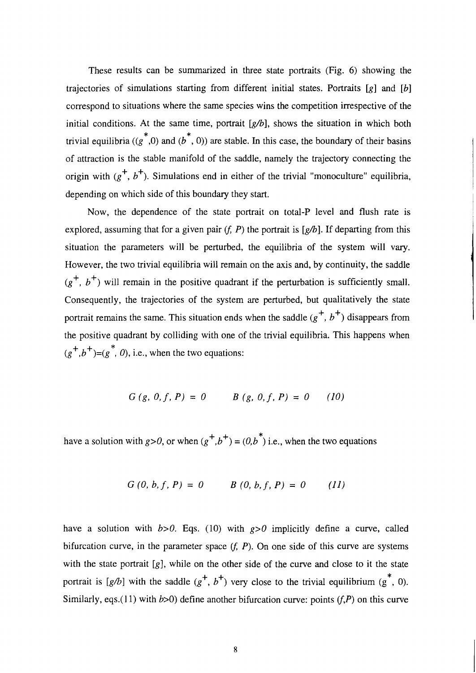These results can be summarized in three state portraits (Fig. *6)* showing the trajectories of simulations starting from different initial states. Portraits  $[g]$  and  $[b]$ correspond to situations where the same species wins the competition irrespective of the initial conditions. At the same time, portrait  $[g/b]$ , shows the situation in which both trivial equilibria ((g<sup>\*</sup>,0) and (b<sup>\*</sup>, 0)) are stable. In this case, the boundary of their basins of attraction is the stable manifold of the saddle, namely the trajectory connecting the origin with  $(g^+, b^+)$ . Simulations end in either of the trivial "monoculture" equilibria, depending on which side of this boundary they start.

Now, the dependence of the state portrait on total-P level and flush rate is explored, assuming that for a given pair  $(f, P)$  the portrait is [g/b]. If departing from this situation the parameters will be perturbed, the equilibria of the system will vary. However, the two trivial equilibria will remain on the axis and, by continuity, the saddle  $(g<sup>+</sup>, b<sup>+</sup>)$  will remain in the positive quadrant if the perturbation is sufficiently small. Consequently, the trajectories of the system are perturbed, but qualitatively the state portrait remains the same. This situation ends when the saddle  $(g^+, b^+)$  disappears from the positive quadrant by colliding with one of the trivial equilibria. This happens when  $(g^+, b^+) = (g^*, 0)$ , i.e., when the two equations:

$$
G(g, 0, f, P) = 0 \qquad B(g, 0, f, P) = 0 \qquad (10)
$$

have a solution with  $g > 0$ , or when  $(g^+, b^+) = (0, b^*)$  i.e., when the two equations

$$
G(0, b, f, P) = 0 \qquad B(0, b, f, P) = 0 \qquad (11)
$$

have a solution with  $b > 0$ . Eqs. (10) with  $g > 0$  implicitly define a curve, called bifurcation curve, in the parameter space  $(f, P)$ . On one side of this curve are systems with the state portrait  $[g]$ , while on the other side of the curve and close to it the state portrait is [g/b] with the saddle  $(g^+, b^+)$  very close to the trivial equilibrium  $(g^*, 0)$ . Similarly, eqs.(11) with  $b>0$ ) define another bifurcation curve: points (f,P) on this curve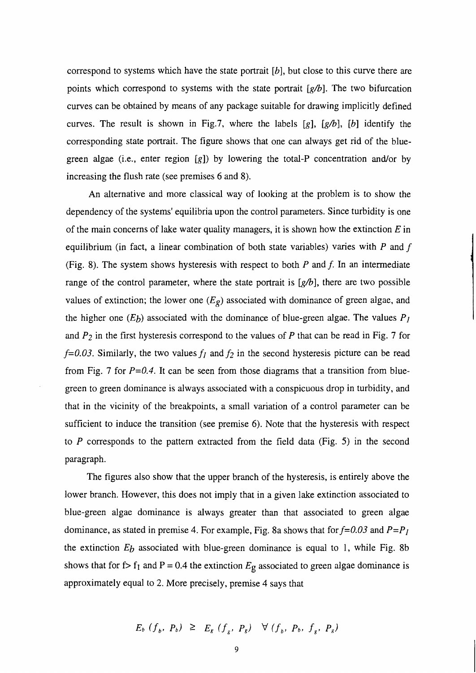correspond to systems which have the state portrait  $[b]$ , but close to this curve there are points which correspond to systems with the state portrait  $[g/b]$ . The two bifurcation curves can be obtained by means of any package suitable for drawing implicitly defined curves. The result is shown in Fig.7, where the labels [g],  $[g/b]$ , [b] identify the corresponding state portrait. The figure shows that one can always get rid of the bluegreen algae (i.e., enter region [g]) by lowering the total-P concentration and/or by increasing the flush rate (see premises 6 and 8).

An alternative and more classical way of looking at the problem is to show the dependency of the systems' equilibria upon the control parameters. Since turbidity is one of the main concerns of lake water quality managers, it is shown how the extinction  $E$  in equilibrium (in fact, a linear combination of both state variables) varies with **P** and **f**  (Fig. 8). The system shows hysteresis with respect to both **P** and **f.** In an intermediate range of the control parameter, where the state portrait is  $[g/b]$ , there are two possible values of extinction; the lower one  $(E_g)$  associated with dominance of green algae, and the higher one  $(E_b)$  associated with the dominance of blue-green algae. The values  $P_I$ and **P2** in the first hysteresis correspond to the values of **P** that can be read in Fig. 7 for  $f=0.03$ . Similarly, the two values  $f_1$  and  $f_2$  in the second hysteresis picture can be read from Fig. 7 for **P=0.4.** It can be seen from those diagrams that a transition from bluegreen to green dominance is always associated with a conspicuous drop in turbidity, and that in the vicinity of the breakpoints, a small variation of a control parameter can be sufficient to induce the transition (see premise 6). Note that the hysteresis with respect to **P** corresponds to the pattern extracted from the field data (Fig. 5) in the second paragraph.

The figures also show that the upper branch of the hysteresis, is entirely above the lower branch. However, this does not imply that in a given lake extinction associated to blue-green algae dominance is always greater than that associated to green algae dominance, as stated in premise 4. For example, Fig. 8a shows that for  $f=0.03$  and  $P=P_1$ the extinction  $E_b$  associated with blue-green dominance is equal to 1, while Fig. 8b shows that for f> f<sub>1</sub> and P = 0.4 the extinction  $E_g$  associated to green algae dominance is approximately equal to 2. More precisely, premise 4 says that

$$
E_b(f_b, P_b) \geq E_g(f_g, P_g) \quad \forall (f_b, P_b, f_g, P_g)
$$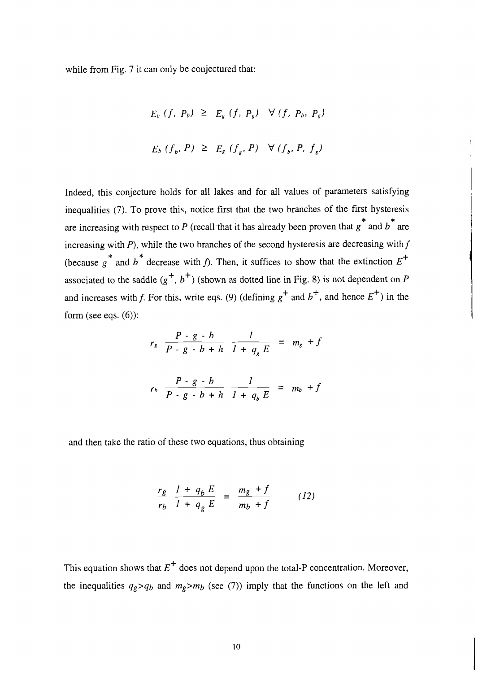while from Fig. 7 it can only be conjectured that:

$$
E_b (f, P_b) \geq E_g (f, P_g) \quad \forall (f, P_b, P_g)
$$
  

$$
E_b (f_b, P) \geq E_g (f_g, P) \quad \forall (f_b, P, f_g)
$$

Indeed, this conjecture holds for all lakes and for all values of parameters satisfying nequalities (7). To prove this, notice first that the two branches of the first hysteresis  $\frac{1}{2}$ are increasing with respect to P (recall that it has already been proven that g and b are increasing with  $P$ ), while the two branches of the second hysteresis are decreasing with  $f$  $\ddot{\bullet}$ (because g and b decrease with f). Then, it suffices to show that the extinction  $E^+$ associated to the saddle  $(g^+, b^+)$  (shown as dotted line in Fig. 8) is not dependent on P and increases with f. For this, write eqs. (9) (defining  $g^+$  and  $b^+$ , and hence  $E^+$ ) in the form (see eqs.  $(6)$ ):

$$
r_{g} \frac{P \cdot g \cdot b}{P \cdot g \cdot b + h} \frac{l}{l + q_{g} E} = m_{g} + f
$$
\n
$$
r_{b} \frac{P \cdot g \cdot b}{P \cdot g \cdot b + h} \frac{l}{l + q_{b} E} = m_{b} + f
$$

and then take the ratio of these two equations, thus obtaining

$$
\frac{r_g}{r_b} \frac{1 + q_b E}{1 + q_g E} = \frac{m_g + f}{m_b + f}
$$
 (12)

This equation shows that  $E^+$  does not depend upon the total-P concentration. Moreover, the inequalities  $q_g > q_b$  and  $m_g > m_b$  (see (7)) imply that the functions on the left and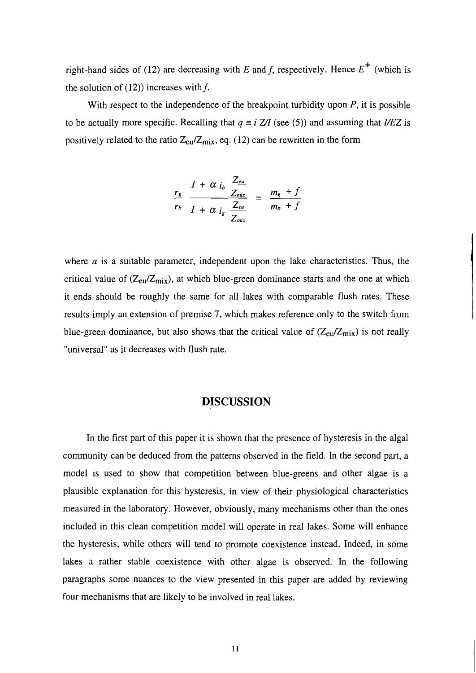right-hand sides of (12) are decreasing with *E* and *f*, respectively. Hence  $E^+$  (which is the solution of (12)) increases with *f.* 

With respect to the independence of the breakpoint turbidity upon  $P$ , it is possible to be actually more specific. Recalling that  $q \equiv i Z/I$  (see (5)) and assuming that *I/EZ* is positively related to the ratio  $Z_{eu}/Z_{mix}$ , eq. (12) can be rewritten in the form

$$
\frac{r_g}{r_b} \frac{1 + \alpha i_b \frac{Zeu}{Z_{mix}}}{1 + \alpha i_g \frac{Zeu}{Z_{mix}}} = \frac{m_g + f}{m_b + f}
$$

where  $a$  is a suitable parameter, independent upon the lake characteristics. Thus, the critical value of  $(Z_{eu}/Z_{mix})$ , at which blue-green dominance starts and the one at which it ends should be roughly the same for all lakes with comparable flush rates. These results imply an extension of premise 7, which makes reference only to the switch from blue-green dominance, but also shows that the critical value of  $(Z_{eu}/Z_{mix})$  is not really "universal" as it decreases with flush rate.

#### **DISCUSSION**

In the first part of this paper it is shown that the presence of hysteresis in the algal community can be deduced from the patterns observed in the field. In the second part, a model is used to show that competition between blue-greens and other algae is a plausible explanation for this hysteresis, in view of their physiological characteristics measured in the laboratory. However, obviously, many mechanisms other than the ones included in this clean competition model will operate in real lakes. Some will enhance the hysteresis, while others will tend to promote coexistence instead. Indeed, in some lakes a rather stable coexistence with other algae is observed. In the following paragraphs some nuances to the view presented in this paper are added by reviewing four mechanisms that are likely to be involved in real lakes.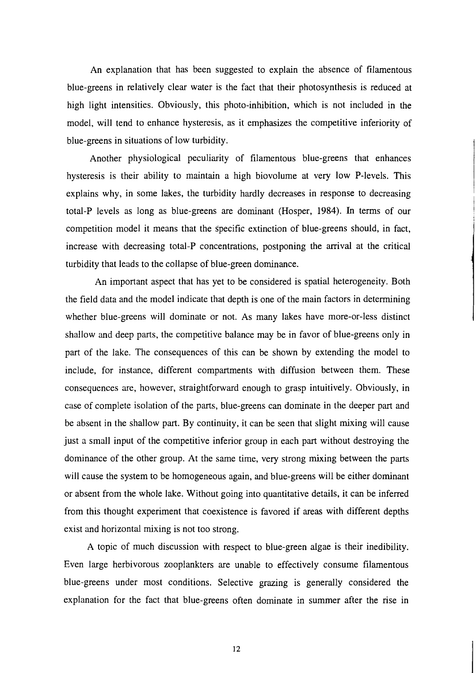An explanation that has been suggested to explain the absence of filamentous blue-greens in relatively clear water is the fact that their photosynthesis is reduced at high light intensities. Obviously, this photo-inhibition, which is not included in the model, will tend to enhance hysteresis, as it emphasizes the competitive inferiority of blue-greens in situations of low turbidity.

Another physiological peculiarity of filamentous blue-greens that enhances hysteresis is their ability to maintain a high biovolume at very low P-levels. This explains why, in some lakes, the turbidity hardly decreases in response to decreasing total-P levels as long as blue-greens are dominant (Hosper, 1984). In terms of our competition model it means that the specific extinction of blue-greens should, in fact, increase with decreasing total-P concentrations, postponing the arrival at the critical turbidity that leads to the collapse of blue-green dominance.

An important aspect that has yet to be considered is spatial heterogeneity. Both the field data and the model indicate that depth is one of the main factors in determining whether blue-greens will dominate or not. As many lakes have more-or-less distinct shallow and deep parts, the competitive balance may be in favor of blue-greens only in part of the lake. The consequences of this can be shown by extending the model to include, for instance, different compartments with diffusion between them. These consequences are, however, straightforward enough to grasp intuitively. Obviously, in case of complete isolation of the parts, blue-greens can dominate in the deeper part and be absent in the shallow part. By continuity, it can be seen that slight mixing will cause just a small input of the competitive inferior group in each part without destroying the dominance of the other group. At the same time, very strong mixing between the parts will cause the system to be homogeneous again, and blue-greens will be either dominant or absent from the whole lake. Without going into quantitative details, it can be inferred from this thought experiment that coexistence is favored if areas with different depths exist and horizontal mixing is not too strong.

A topic of much discussion with respect to blue-green algae is their inedibility. Even large herbivorous zooplankters are unable to effectively consume filamentous blue-greens under most conditions. Selective grazing is generally considered the explanation for the fact that blue-greens often dominate in summer after the rise in

 $12$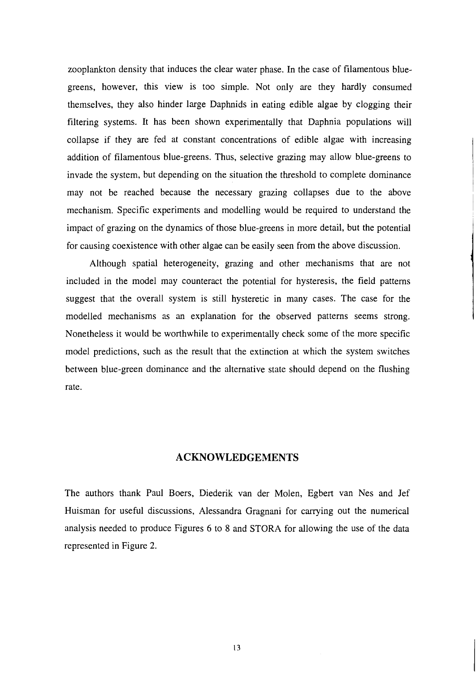zooplankton density that induces the clear water phase. In the case of filamentous bluegreens, however, this view is too simple. Not only are they hardly consumed themselves, they also hinder large Daphnids in eating edible algae by clogging their filtering systems. It has been shown experimentally that Daphnia populations will collapse if they are fed at constant concentrations of edible algae with increasing addition of filamentous blue-greens. Thus, selective grazing may allow blue-greens to invade the system, but depending on the situation the threshold to complete dominance may not be reached because the necessary grazing collapses due to the above mechanism. Specific experiments and modelling would be required to understand the impact of grazing on the dynamics of those blue-greens in more detail, but the potential for causing coexistence with other algae can be easily seen from the above discussion.

Although spatial heterogeneity, grazing and other mechanisms that are not included in the model may counteract the potential for hysteresis, the field patterns suggest that the overall system is still hysteretic in many cases. The case for the modelled mechanisms as an explanation for the observed patterns seems strong. Nonetheless it would be worthwhile to experimentally check some of the more specific model predictions, such as the result that the extinction at which the system switches between blue-green dominance and the alternative state should depend on the flushing rate.

#### **ACKNOWLEDGEMENTS**

The authors thank Paul Boers, Diederik van der Molen, Egbert van Nes and Jef Huisman for useful discussions, Alessandra Gragnani for carrying out the numerical analysis needed to produce Figures 6 to 8 and STORA for allowing the use of the data represented in Figure 2.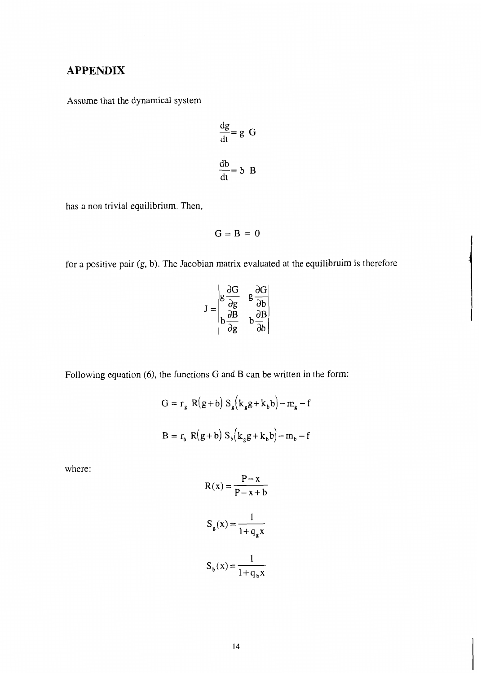# **APPENDIX**

Assume that the dynamical system

$$
\frac{dg}{dt} = g \ G
$$

$$
\frac{db}{dt} = b \ B
$$

has a non trivial equilibrium. Then,

$$
G=B=0
$$

for a positive pair (g, b). The Jacobian matrix evaluated at the equilibruim is therefore

$$
J = \begin{vmatrix} g \frac{\partial g}{\partial g} & g \frac{\partial h}{\partial g} \\ h \frac{\partial g}{\partial g} & h \frac{\partial h}{\partial g} \end{vmatrix}
$$

Following equation *(6),* the functions G and B can be written in the form:

$$
G = r_g R(g + b) S_g (k_g g + k_b b) - m_g - f
$$
  

$$
B = r_b R(g + b) S_b (k_g g + k_b b) - m_b - f
$$

where:

$$
R(x) = \frac{P - x}{P - x + b}
$$

$$
S_g(x) = \frac{1}{1 + q_g x}
$$

$$
S_b(x) = \frac{1}{1 + q_b x}
$$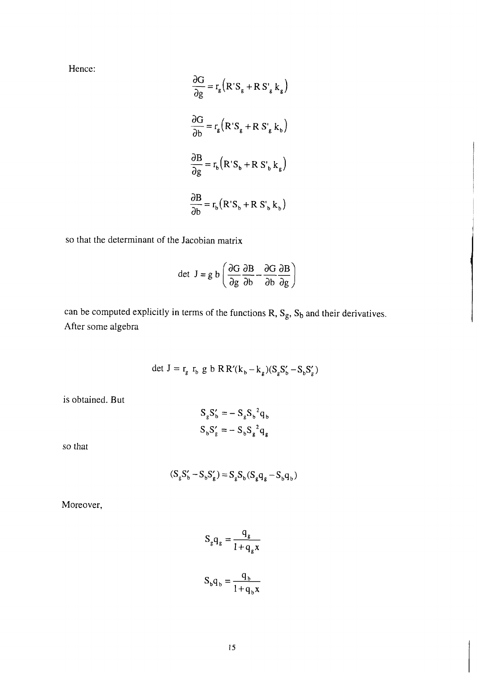Hence:

$$
\frac{\partial G}{\partial g} = r_g (R'S_g + RS'_g k_g)
$$
  

$$
\frac{\partial G}{\partial b} = r_g (R'S_g + RS'_g k_b)
$$
  

$$
\frac{\partial B}{\partial g} = r_b (R'S_b + RS'_b k_g)
$$
  

$$
\frac{\partial B}{\partial b} = r_b (R'S_b + RS'_b k_g)
$$

so that the determinant of the Jacobian matrix

$$
\frac{\partial \mathbf{B}}{\partial \mathbf{b}} = \mathbf{r}_{\mathbf{b}} (\mathbf{R}^{\prime} \mathbf{S}_{\mathbf{b}} + \mathbf{R} \mathbf{S}_{\mathbf{b}}^{\prime} \mathbf{k}_{\mathbf{b}})
$$
  
2 Jacobian matrix  
det  $\mathbf{J} = g \mathbf{b} \left( \frac{\partial \mathbf{G}}{\partial g} \frac{\partial \mathbf{B}}{\partial \mathbf{b}} - \frac{\partial \mathbf{G}}{\partial \mathbf{b}} \frac{\partial \mathbf{B}}{\partial g} \right)$ 

can be computed explicitly in terms of the functions  $R$ ,  $S_g$ ,  $S_b$  and their derivatives. After some algebra

$$
\det \mathbf{J} = \mathbf{r}_{g} \mathbf{r}_{b} \mathbf{g} \mathbf{b} \mathbf{R} \mathbf{R}^{\prime} (\mathbf{k}_{b} - \mathbf{k}_{g}) (\mathbf{S}_{g} \mathbf{S}_{b}^{\prime} - \mathbf{S}_{b} \mathbf{S}_{g}^{\prime})
$$

is obtained. But

$$
S_g S_b' = -S_g S_b^2 q_b
$$
  

$$
S_b S_g' = -S_b S_g^2 q_g
$$

so that

$$
(S_{g}S'_{b} - S_{b}S'_{g}) = S_{g}S_{b}(S_{g}q_{g} - S_{b}q_{b})
$$

Moreover,

$$
S_g q_g = \frac{q_g}{1 + q_g x}
$$

$$
S_b q_b = \frac{q_b}{1 + q_b x}
$$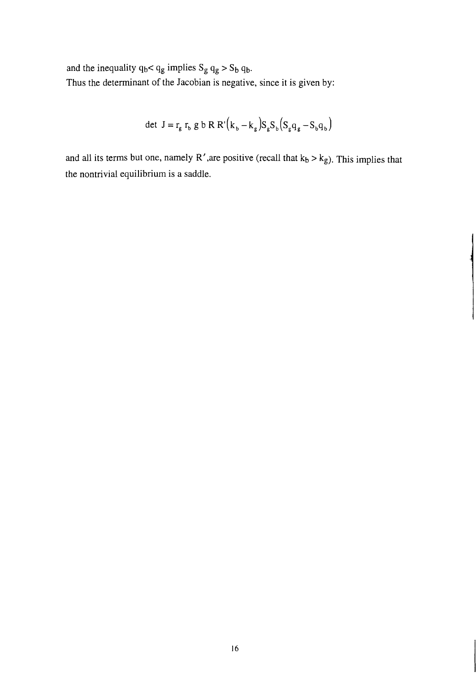and the inequality  $q_b < q_g$  implies  $S_g q_g > S_b q_b$ . Thus the determinant of the Jacobian is negative, since it is given by:

det 
$$
J = r_g r_b g b R R'(k_b - k_g) S_g S_b (S_g q_g - S_b q_b)
$$

and all its terms but one, namely R', are positive (recall that  $k_b > k_g$ ). This implies that the nontrivial equilibrium is a saddle.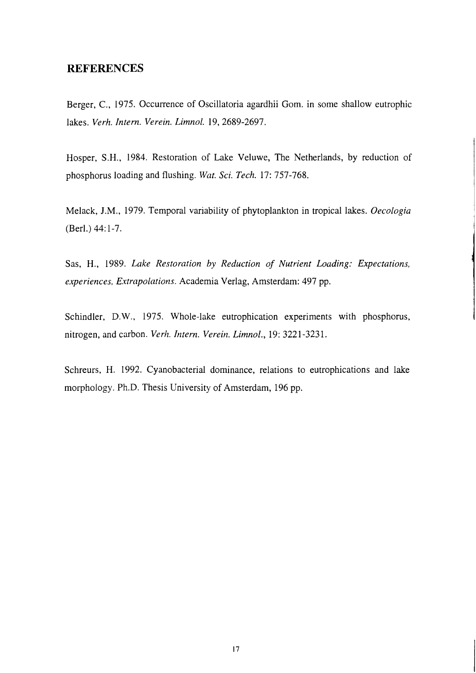## **REFERENCES**

Berger, C,, 1975. Occurrence of Oscillatoria agardhii Gom. in some shallow eutrophic lakes. *Verh. Intern. Verein. Limnol.* 19, 2689-2697.

Hosper, S.H., 1984. Restoration of Lake Veluwe, The Netherlands, by reduction of phosphorus loading and flushing. *Wat. Sci. Tech.* 17: 757-768.

Melack, J.M., 1979. Temporal variability of phytoplankton in tropical lakes. *Oecologia*  (Berl.) 44: 1-7.

Sas, H., 1989. *Lake Restoration* by *Reduction of Nutrient Loading: Expectations, experiences, Extrpolations.* Academia Verlag, Amsterdam: 497 pp.

Schindler, D.W., 1975. Whole-lake eutrophication experiments with phosphorus, nitrogen, and carbon. *Verlz. Intern. Vereiiz. Limnol.,* 19: 322 1-323 1.

Schreurs, H. 1992. Cyanobacterial dominance, relations to eutrophications and lake morphology. Ph.D. Thesis University of Amsterdam, 196 pp.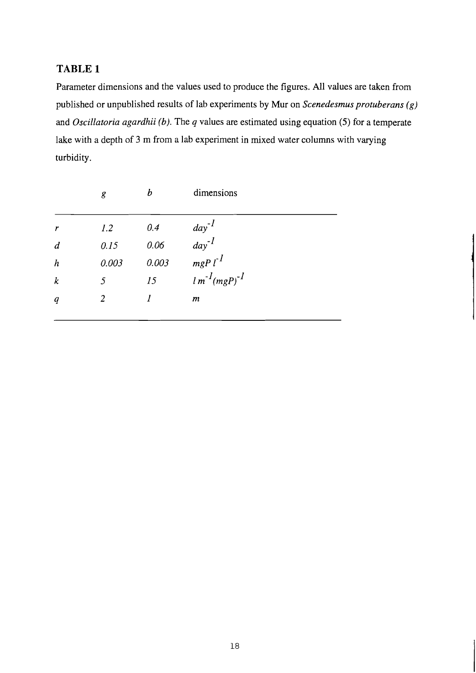## TABLE **1**

Parameter dimensions and the values used to produce the figures. All values are taken from published or unpublished results of lab experiments by Mur on *Scenedesmus protuberans (g)*  and *Oscillatoria agardhii (b).* The *q* values are estimated using equation (5) for a temperate lake with a depth of 3 m from a lab experiment in mixed water columns with varying turbidity.

|                  | g           | $\boldsymbol{b}$ | dimensions                  |
|------------------|-------------|------------------|-----------------------------|
| $\boldsymbol{r}$ | 1.2         | 0.4              |                             |
| $\boldsymbol{d}$ | 0.15        | 0.06             | $\frac{day^{-1}}{day^{-1}}$ |
| $\boldsymbol{h}$ | 0.003       | 0.003            | $mgP l^1$                   |
| $\boldsymbol{k}$ | $\varsigma$ | 15               | $lm^{-1}(mgP)^{-1}$         |
| $\boldsymbol{q}$ | 2           |                  | $\boldsymbol{m}$            |
|                  |             |                  |                             |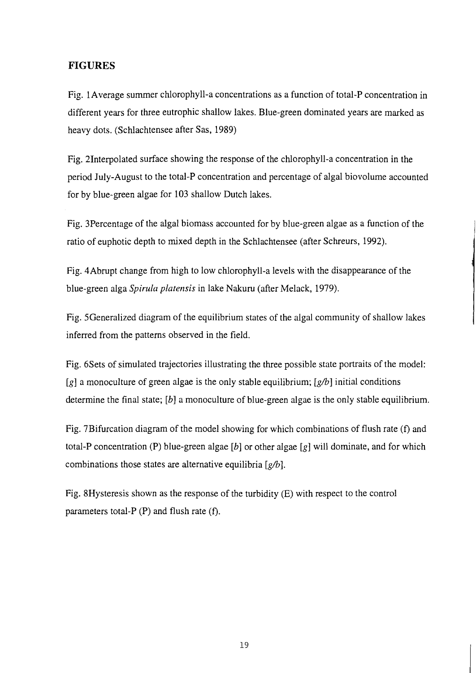## **FIGURES**

Fig. 1Average summer chlorophyll-a concentrations as a function of total-P concentration in different years for three eutrophic shallow lakes. Blue-green dominated years are marked as heavy dots. (Schlachtensee after Sas, 1989)

Fig. 2Interpolated surface showing the response of the chlorophyll-a concentration in the period July-August to the total-P concentration and percentage of algal biovolume accounted for by blue-green algae for 103 shallow Dutch lakes.

Fig. 3Percentage of the algal biomass accounted for by blue-green algae as a function of the ratio of euphotic depth to mixed depth in the Schlachtensee (after Schreurs, 1992).

Fig. 4Abrupt change from high to low chlorophyll-a levels with the disappearance of the blue-green alga Spirula platensis in lake Nakuru (after Melack, 1979).

Fig. SGeneralized diagram of the equilibrium states of the algal community of shallow lakes inferred from the patterns observed in the field.

Fig. 6Sets of simulated trajectories illustrating the three possible state portraits of the model: *[g]* a monoculture of green algae is the only stable equilibrium; *[gh]* initial conditions determine the final state; *[b]* a monoculture of blue-green algae is the only stable equilibrium.

Fig. 7Bifurcation diagram of the model showing for which combinations of flush rate **(f)** and total-P concentration (P) blue-green algae *[b]* or other algae *[g]* will dominate, and for which combinations those states are alternative equilibria *[gh].* 

Fig. 8Hysteresis shown as the response of the turbidity (E) with respect to the control parameters total-P (P) and flush rate **(f).**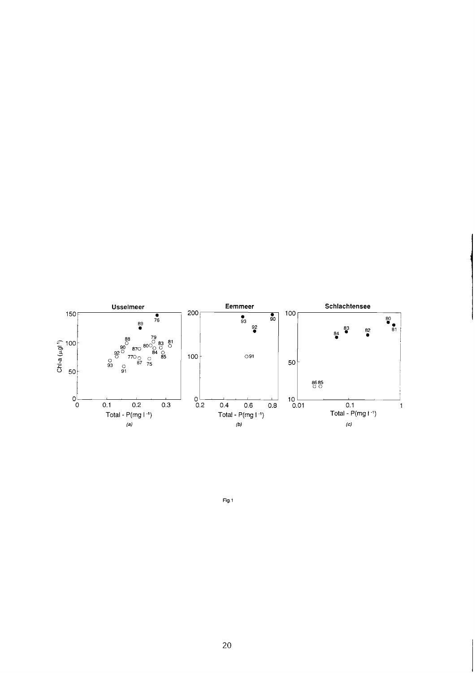

**Fig 1**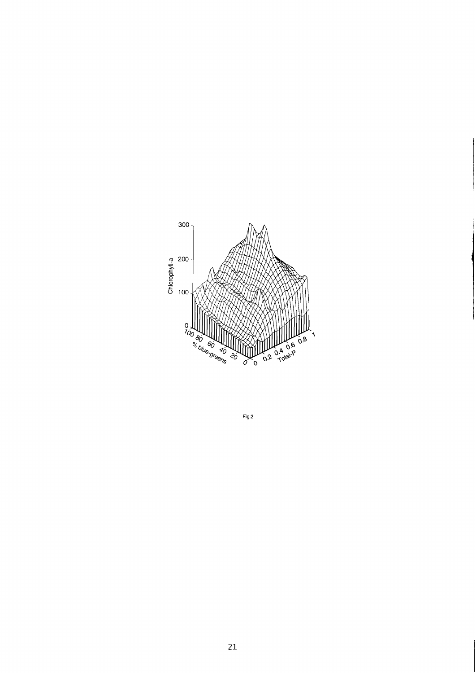

 $Fig. 2$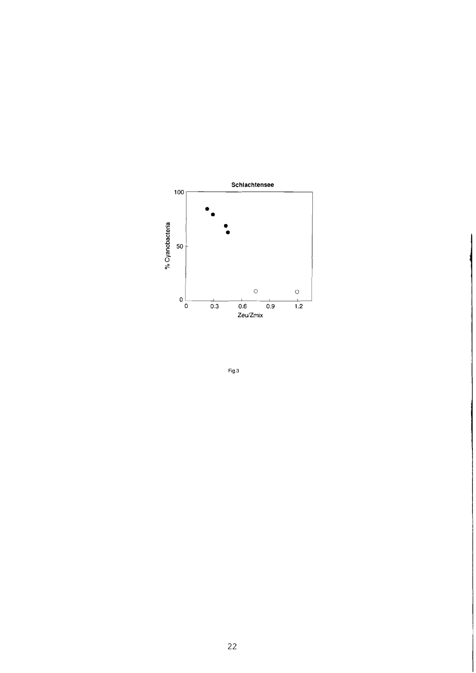

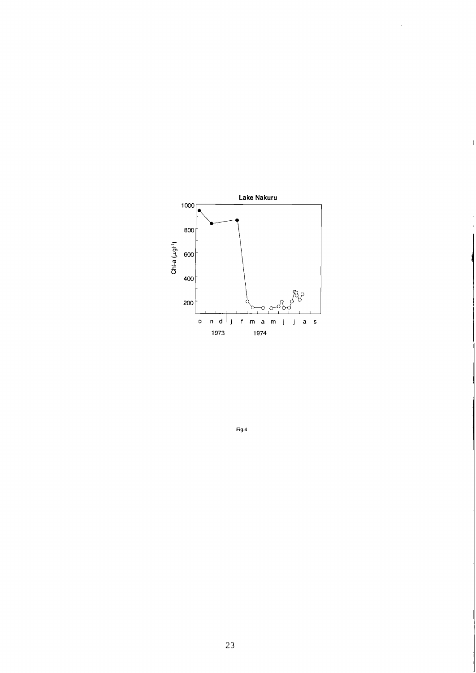

 $\bar{\mathcal{A}}$ 

 $Fig.4$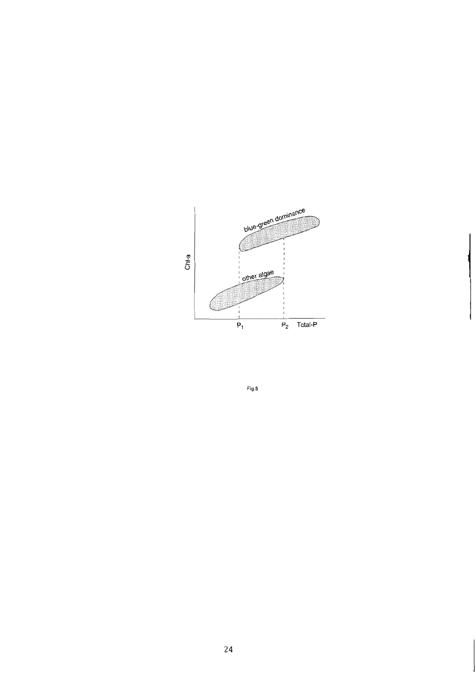

Fig.5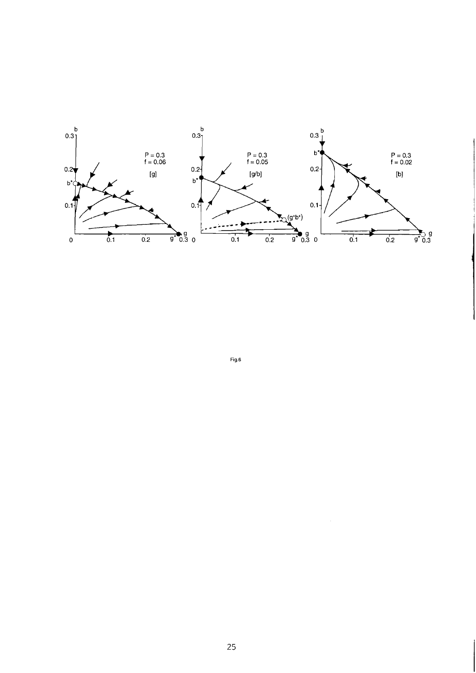

 $Fig.6$ 

 $\sim$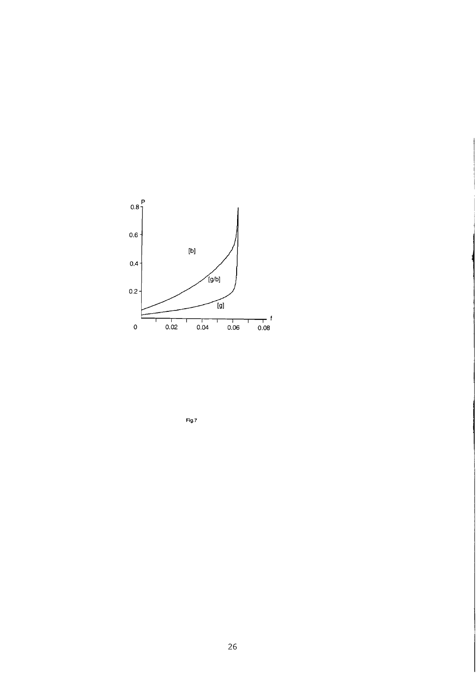

 $Fig.7$